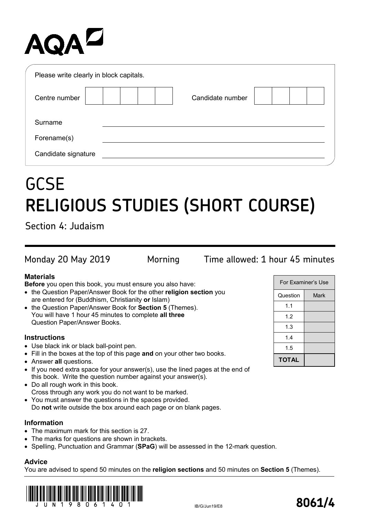# AQA<sup>D</sup>

| Please write clearly in block capitals. |                  |  |
|-----------------------------------------|------------------|--|
| Centre number                           | Candidate number |  |
| Surname                                 |                  |  |
| Forename(s)                             |                  |  |
| Candidate signature                     |                  |  |

## **GCSE RELIGIOUS STUDIES (SHORT COURSE)**

Section 4: Judaism

Monday 20 May 2019 Morning Time allowed: 1 hour 45 minutes

### **Materials**

**Before** you open this book, you must ensure you also have:

- the Question Paper/Answer Book for the other **religion section** you are entered for (Buddhism, Christianity **or** Islam)
- the Question Paper/Answer Book for **Section 5** (Themes). You will have 1 hour 45 minutes to complete **all three** Question Paper/Answer Books.

#### **Instructions**

- Use black ink or black ball-point pen.
- Fill in the boxes at the top of this page **and** on your other two books.
- Answer **all** questions.
- If you need extra space for your answer(s), use the lined pages at the end of this book. Write the question number against your answer(s).
- Do all rough work in this book. Cross through any work you do not want to be marked.
- You must answer the questions in the spaces provided.
- Do **not** write outside the box around each page or on blank pages.

#### **Information**

- The maximum mark for this section is 27.
- The marks for questions are shown in brackets.
- Spelling, Punctuation and Grammar (**SPaG**) will be assessed in the 12-mark question.

#### **Advice**

You are advised to spend 50 minutes on the **religion sections** and 50 minutes on **Section 5** (Themes).



For Examiner's Use

Question | Mark

1.1 1.2 1.3 1.4 1.5 **TOTAL**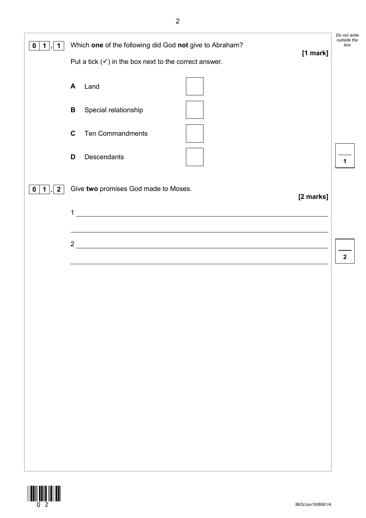| $\mathbf 1$<br>1<br>0         | Which one of the following did God not give to Abraham?<br>[1 mark]<br>Put a tick $(\checkmark)$ in the box next to the correct answer.<br>Land<br>A<br>Special relationship<br>$\, {\bf B} \,$<br>$\mathbf c$<br><b>Ten Commandments</b><br>Descendants<br>D | Do not write<br>outside the<br>box<br>$\mathbf 1$ |
|-------------------------------|---------------------------------------------------------------------------------------------------------------------------------------------------------------------------------------------------------------------------------------------------------------|---------------------------------------------------|
| $2 \mid$<br>1<br>$\mathbf{0}$ | Give two promises God made to Moses.<br>[2 marks]<br><u> 1989 - Johann Stoff, deutscher Stoffen und der Stoffen und der Stoffen und der Stoffen und der Stoffen und der</u><br>1                                                                              |                                                   |
|                               | $2 \overline{ }$<br><u> 1989 - Johann Stoff, deutscher Stoffen und der Stoffen und der Stoffen und der Stoffen und der Stoffen und der</u>                                                                                                                    | $\mathbf{2}$                                      |
|                               |                                                                                                                                                                                                                                                               |                                                   |
|                               |                                                                                                                                                                                                                                                               |                                                   |
|                               |                                                                                                                                                                                                                                                               |                                                   |

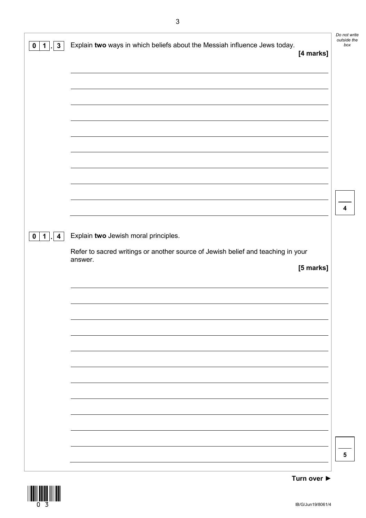|                                                       |                                                                                             | Do not write<br>outside the |
|-------------------------------------------------------|---------------------------------------------------------------------------------------------|-----------------------------|
| $\mathbf{3}$<br>0<br>1                                | Explain two ways in which beliefs about the Messiah influence Jews today.<br>[4 marks]      | box                         |
|                                                       |                                                                                             |                             |
|                                                       |                                                                                             |                             |
|                                                       |                                                                                             |                             |
|                                                       |                                                                                             |                             |
|                                                       |                                                                                             |                             |
|                                                       |                                                                                             |                             |
|                                                       |                                                                                             |                             |
|                                                       |                                                                                             |                             |
|                                                       |                                                                                             |                             |
|                                                       |                                                                                             |                             |
|                                                       |                                                                                             | 4                           |
|                                                       |                                                                                             |                             |
| $\mathbf 1$<br>$\overline{\mathbf{4}}$<br>$\mathbf 0$ | Explain two Jewish moral principles.                                                        |                             |
|                                                       | Refer to sacred writings or another source of Jewish belief and teaching in your<br>answer. |                             |
|                                                       | [5 marks]                                                                                   |                             |
|                                                       |                                                                                             |                             |
|                                                       |                                                                                             |                             |
|                                                       |                                                                                             |                             |
|                                                       |                                                                                             |                             |
|                                                       |                                                                                             |                             |
|                                                       |                                                                                             |                             |
|                                                       |                                                                                             |                             |
|                                                       |                                                                                             |                             |
|                                                       |                                                                                             |                             |
|                                                       |                                                                                             |                             |
|                                                       |                                                                                             |                             |
|                                                       |                                                                                             |                             |
|                                                       |                                                                                             |                             |
|                                                       |                                                                                             | 5                           |

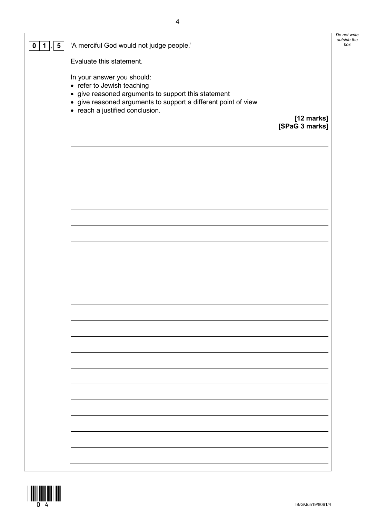| 5<br>$\mathbf 0$<br>1 | 'A merciful God would not judge people.'                                                                                                                                                                             |                | outside<br>bo) |
|-----------------------|----------------------------------------------------------------------------------------------------------------------------------------------------------------------------------------------------------------------|----------------|----------------|
|                       | Evaluate this statement.                                                                                                                                                                                             |                |                |
|                       | In your answer you should:<br>• refer to Jewish teaching<br>• give reasoned arguments to support this statement<br>• give reasoned arguments to support a different point of view<br>• reach a justified conclusion. | [12 marks]     |                |
|                       |                                                                                                                                                                                                                      | [SPaG 3 marks] |                |
|                       |                                                                                                                                                                                                                      |                |                |
|                       |                                                                                                                                                                                                                      |                |                |
|                       |                                                                                                                                                                                                                      |                |                |
|                       |                                                                                                                                                                                                                      |                |                |
|                       |                                                                                                                                                                                                                      |                |                |
|                       |                                                                                                                                                                                                                      |                |                |
|                       |                                                                                                                                                                                                                      |                |                |
|                       |                                                                                                                                                                                                                      |                |                |
|                       |                                                                                                                                                                                                                      |                |                |
|                       |                                                                                                                                                                                                                      |                |                |
|                       |                                                                                                                                                                                                                      |                |                |
|                       |                                                                                                                                                                                                                      |                |                |
|                       |                                                                                                                                                                                                                      |                |                |
|                       |                                                                                                                                                                                                                      |                |                |
|                       |                                                                                                                                                                                                                      |                |                |
|                       |                                                                                                                                                                                                                      |                |                |
|                       |                                                                                                                                                                                                                      |                |                |
|                       |                                                                                                                                                                                                                      |                |                |
|                       |                                                                                                                                                                                                                      |                |                |
|                       |                                                                                                                                                                                                                      |                |                |
|                       |                                                                                                                                                                                                                      |                |                |
|                       |                                                                                                                                                                                                                      |                |                |

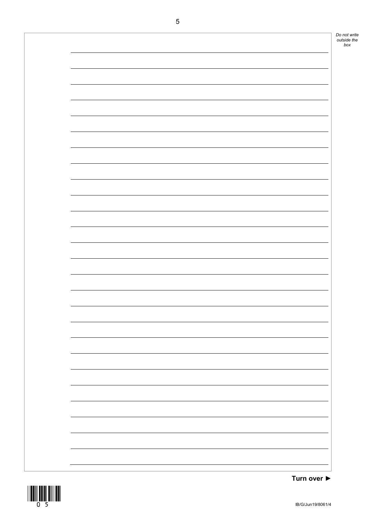

**Turn over ►**

*box*

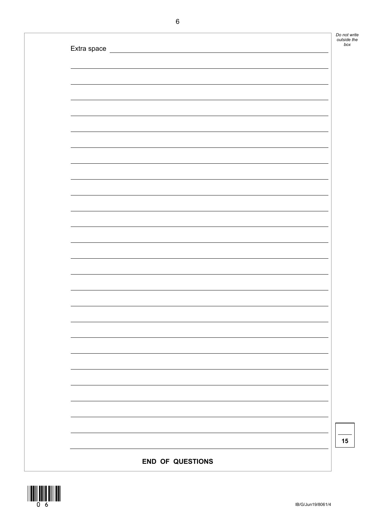| Do not write |
|--------------|
| outside the  |
| box          |
|              |

| Extra space |  |  |
|-------------|--|--|
|             |  |  |
|             |  |  |
|             |  |  |
|             |  |  |
|             |  |  |
|             |  |  |
|             |  |  |
|             |  |  |
|             |  |  |
|             |  |  |
|             |  |  |
|             |  |  |
|             |  |  |
|             |  |  |
|             |  |  |
|             |  |  |
|             |  |  |
|             |  |  |
|             |  |  |
|             |  |  |
|             |  |  |
|             |  |  |
|             |  |  |
|             |  |  |
|             |  |  |
|             |  |  |
|             |  |  |
|             |  |  |
|             |  |  |
|             |  |  |
|             |  |  |
|             |  |  |
|             |  |  |
|             |  |  |
|             |  |  |
|             |  |  |
|             |  |  |
|             |  |  |

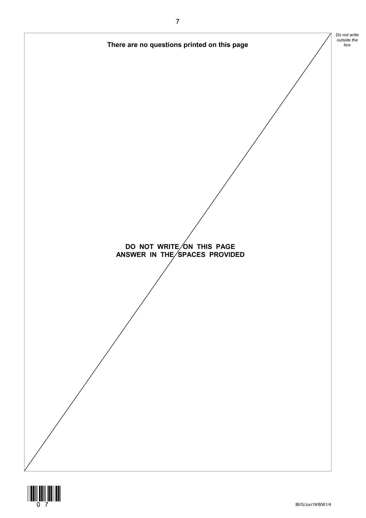

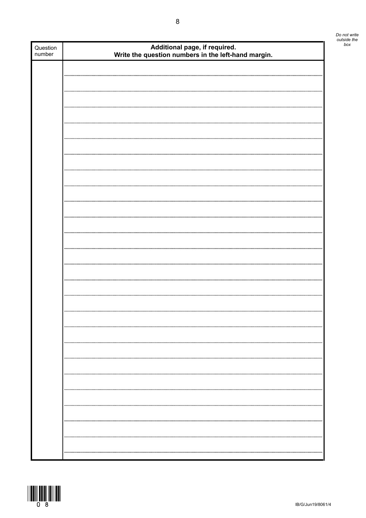| Do not write<br>outside the<br>box |
|------------------------------------|
|                                    |

| Question<br>number | Additional page, if required.<br>Write the question numbers in the left-hand margin. | bo) |
|--------------------|--------------------------------------------------------------------------------------|-----|
|                    |                                                                                      |     |
|                    |                                                                                      |     |
|                    |                                                                                      |     |
|                    |                                                                                      |     |
|                    |                                                                                      |     |
|                    |                                                                                      |     |
|                    |                                                                                      |     |
|                    |                                                                                      |     |
|                    |                                                                                      |     |
|                    |                                                                                      |     |
|                    |                                                                                      |     |
|                    |                                                                                      |     |
|                    |                                                                                      |     |
|                    |                                                                                      |     |
|                    |                                                                                      |     |
|                    |                                                                                      |     |
|                    |                                                                                      |     |
|                    |                                                                                      |     |
|                    |                                                                                      |     |
|                    |                                                                                      |     |
|                    |                                                                                      |     |
|                    |                                                                                      |     |
|                    |                                                                                      |     |
|                    |                                                                                      |     |
|                    |                                                                                      |     |
|                    |                                                                                      |     |
|                    |                                                                                      |     |
|                    |                                                                                      |     |
|                    |                                                                                      |     |
|                    |                                                                                      |     |



ı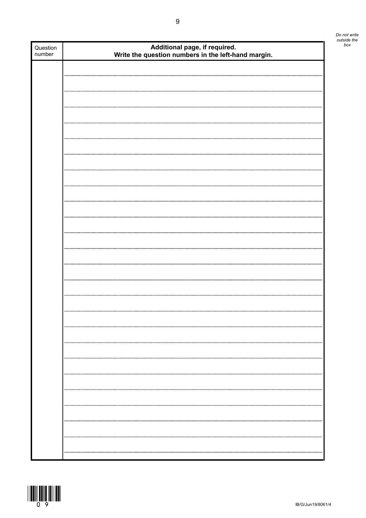| Do not write<br>outside the<br>box |
|------------------------------------|
|                                    |

| Question<br>number | Additional page, if required.<br>Write the question numbers in the left-hand margin. |  |
|--------------------|--------------------------------------------------------------------------------------|--|
|                    |                                                                                      |  |
|                    |                                                                                      |  |
|                    |                                                                                      |  |
|                    |                                                                                      |  |
|                    |                                                                                      |  |
|                    |                                                                                      |  |
|                    |                                                                                      |  |
|                    |                                                                                      |  |
|                    |                                                                                      |  |
|                    |                                                                                      |  |
|                    |                                                                                      |  |
|                    |                                                                                      |  |
|                    |                                                                                      |  |
|                    |                                                                                      |  |
|                    |                                                                                      |  |
|                    |                                                                                      |  |
|                    |                                                                                      |  |
|                    |                                                                                      |  |
|                    |                                                                                      |  |
|                    |                                                                                      |  |
|                    |                                                                                      |  |
|                    |                                                                                      |  |
|                    |                                                                                      |  |
|                    |                                                                                      |  |
|                    |                                                                                      |  |
|                    |                                                                                      |  |
|                    |                                                                                      |  |
|                    |                                                                                      |  |
|                    |                                                                                      |  |
|                    |                                                                                      |  |
|                    |                                                                                      |  |
|                    |                                                                                      |  |
|                    |                                                                                      |  |
|                    |                                                                                      |  |
|                    |                                                                                      |  |
|                    |                                                                                      |  |
|                    |                                                                                      |  |
|                    | <br>                                                                                 |  |
|                    |                                                                                      |  |
|                    |                                                                                      |  |

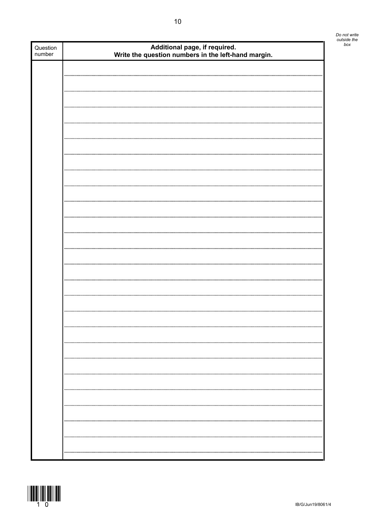| Question<br>number | Additional page, if required.<br>Write the question numbers in the left-hand margin. |  |  |  |  |
|--------------------|--------------------------------------------------------------------------------------|--|--|--|--|
|                    |                                                                                      |  |  |  |  |
|                    |                                                                                      |  |  |  |  |
|                    |                                                                                      |  |  |  |  |
|                    |                                                                                      |  |  |  |  |
|                    |                                                                                      |  |  |  |  |
|                    |                                                                                      |  |  |  |  |
|                    |                                                                                      |  |  |  |  |
|                    |                                                                                      |  |  |  |  |
|                    |                                                                                      |  |  |  |  |
|                    |                                                                                      |  |  |  |  |
|                    |                                                                                      |  |  |  |  |
|                    |                                                                                      |  |  |  |  |
|                    |                                                                                      |  |  |  |  |
|                    |                                                                                      |  |  |  |  |
|                    |                                                                                      |  |  |  |  |
|                    |                                                                                      |  |  |  |  |
|                    |                                                                                      |  |  |  |  |
|                    |                                                                                      |  |  |  |  |
|                    |                                                                                      |  |  |  |  |
|                    |                                                                                      |  |  |  |  |
|                    |                                                                                      |  |  |  |  |
|                    |                                                                                      |  |  |  |  |
|                    |                                                                                      |  |  |  |  |
|                    |                                                                                      |  |  |  |  |
|                    |                                                                                      |  |  |  |  |
|                    |                                                                                      |  |  |  |  |
|                    |                                                                                      |  |  |  |  |
|                    |                                                                                      |  |  |  |  |
|                    |                                                                                      |  |  |  |  |
|                    |                                                                                      |  |  |  |  |
|                    |                                                                                      |  |  |  |  |
|                    |                                                                                      |  |  |  |  |
|                    |                                                                                      |  |  |  |  |
|                    |                                                                                      |  |  |  |  |
|                    |                                                                                      |  |  |  |  |
|                    |                                                                                      |  |  |  |  |
|                    |                                                                                      |  |  |  |  |
|                    |                                                                                      |  |  |  |  |
|                    |                                                                                      |  |  |  |  |
|                    |                                                                                      |  |  |  |  |
|                    |                                                                                      |  |  |  |  |
|                    |                                                                                      |  |  |  |  |
|                    |                                                                                      |  |  |  |  |



*Do not write outside the*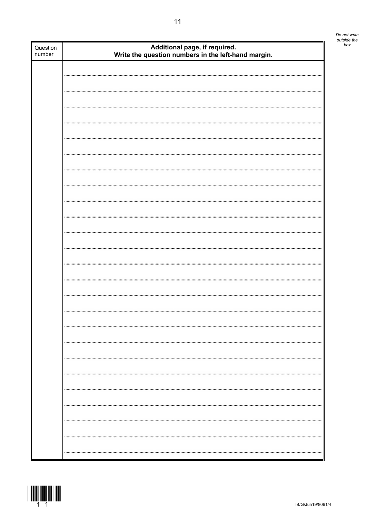| Question<br>number | Additional page, if required.<br>Write the question numbers in the left-hand margin. |  |  |  |  |
|--------------------|--------------------------------------------------------------------------------------|--|--|--|--|
|                    |                                                                                      |  |  |  |  |
|                    |                                                                                      |  |  |  |  |
|                    |                                                                                      |  |  |  |  |
|                    |                                                                                      |  |  |  |  |
|                    |                                                                                      |  |  |  |  |
|                    |                                                                                      |  |  |  |  |
|                    |                                                                                      |  |  |  |  |
|                    |                                                                                      |  |  |  |  |
|                    |                                                                                      |  |  |  |  |
|                    |                                                                                      |  |  |  |  |
|                    |                                                                                      |  |  |  |  |
|                    |                                                                                      |  |  |  |  |
|                    |                                                                                      |  |  |  |  |
|                    |                                                                                      |  |  |  |  |
|                    |                                                                                      |  |  |  |  |
|                    |                                                                                      |  |  |  |  |
|                    |                                                                                      |  |  |  |  |
|                    |                                                                                      |  |  |  |  |
|                    |                                                                                      |  |  |  |  |
|                    |                                                                                      |  |  |  |  |
|                    |                                                                                      |  |  |  |  |
|                    |                                                                                      |  |  |  |  |
|                    |                                                                                      |  |  |  |  |
|                    |                                                                                      |  |  |  |  |
|                    |                                                                                      |  |  |  |  |
|                    |                                                                                      |  |  |  |  |
|                    |                                                                                      |  |  |  |  |
|                    |                                                                                      |  |  |  |  |
|                    |                                                                                      |  |  |  |  |
|                    |                                                                                      |  |  |  |  |
|                    |                                                                                      |  |  |  |  |
|                    |                                                                                      |  |  |  |  |
|                    |                                                                                      |  |  |  |  |
|                    |                                                                                      |  |  |  |  |



*Do not write outside the*